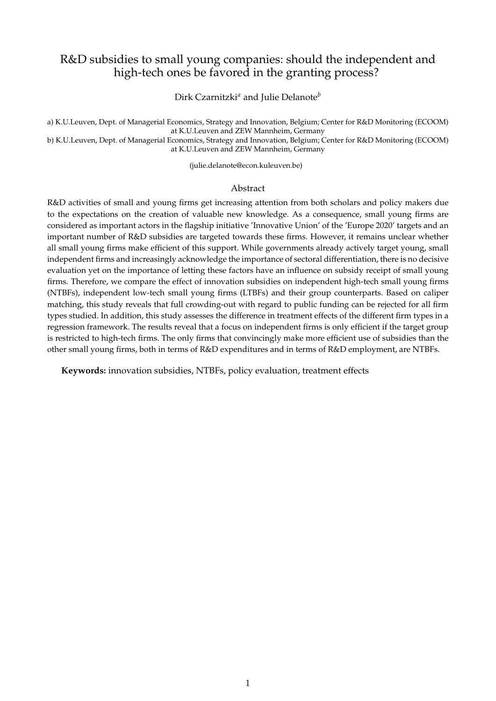# R&D subsidies to small young companies: should the independent and high-tech ones be favored in the granting process?

Dirk Czarnitzki*<sup>a</sup>* and Julie Delanote*<sup>b</sup>*

a) K.U.Leuven, Dept. of Managerial Economics, Strategy and Innovation, Belgium; Center for R&D Monitoring (ECOOM) at K.U.Leuven and ZEW Mannheim, Germany

b) K.U.Leuven, Dept. of Managerial Economics, Strategy and Innovation, Belgium; Center for R&D Monitoring (ECOOM) at K.U.Leuven and ZEW Mannheim, Germany

(julie.delanote@econ.kuleuven.be)

#### Abstract

R&D activities of small and young firms get increasing attention from both scholars and policy makers due to the expectations on the creation of valuable new knowledge. As a consequence, small young firms are considered as important actors in the flagship initiative 'Innovative Union' of the 'Europe 2020' targets and an important number of R&D subsidies are targeted towards these firms. However, it remains unclear whether all small young firms make efficient of this support. While governments already actively target young, small independent firms and increasingly acknowledge the importance of sectoral differentiation, there is no decisive evaluation yet on the importance of letting these factors have an influence on subsidy receipt of small young firms. Therefore, we compare the effect of innovation subsidies on independent high-tech small young firms (NTBFs), independent low-tech small young firms (LTBFs) and their group counterparts. Based on caliper matching, this study reveals that full crowding-out with regard to public funding can be rejected for all firm types studied. In addition, this study assesses the difference in treatment effects of the different firm types in a regression framework. The results reveal that a focus on independent firms is only efficient if the target group is restricted to high-tech firms. The only firms that convincingly make more efficient use of subsidies than the other small young firms, both in terms of R&D expenditures and in terms of R&D employment, are NTBFs.

**Keywords:** innovation subsidies, NTBFs, policy evaluation, treatment effects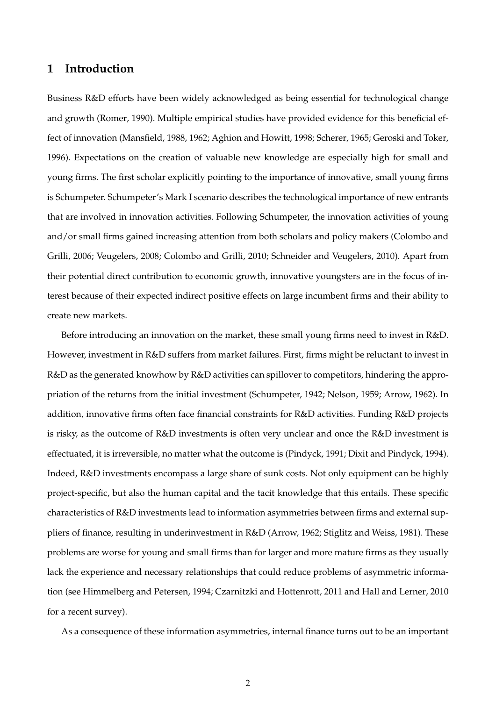## **1 Introduction**

Business R&D efforts have been widely acknowledged as being essential for technological change and growth (Romer, 1990). Multiple empirical studies have provided evidence for this beneficial effect of innovation (Mansfield, 1988, 1962; Aghion and Howitt, 1998; Scherer, 1965; Geroski and Toker, 1996). Expectations on the creation of valuable new knowledge are especially high for small and young firms. The first scholar explicitly pointing to the importance of innovative, small young firms is Schumpeter. Schumpeter's Mark I scenario describes the technological importance of new entrants that are involved in innovation activities. Following Schumpeter, the innovation activities of young and/or small firms gained increasing attention from both scholars and policy makers (Colombo and Grilli, 2006; Veugelers, 2008; Colombo and Grilli, 2010; Schneider and Veugelers, 2010). Apart from their potential direct contribution to economic growth, innovative youngsters are in the focus of interest because of their expected indirect positive effects on large incumbent firms and their ability to create new markets.

Before introducing an innovation on the market, these small young firms need to invest in R&D. However, investment in R&D suffers from market failures. First, firms might be reluctant to invest in R&D as the generated knowhow by R&D activities can spillover to competitors, hindering the appropriation of the returns from the initial investment (Schumpeter, 1942; Nelson, 1959; Arrow, 1962). In addition, innovative firms often face financial constraints for R&D activities. Funding R&D projects is risky, as the outcome of R&D investments is often very unclear and once the R&D investment is effectuated, it is irreversible, no matter what the outcome is (Pindyck, 1991; Dixit and Pindyck, 1994). Indeed, R&D investments encompass a large share of sunk costs. Not only equipment can be highly project-specific, but also the human capital and the tacit knowledge that this entails. These specific characteristics of R&D investments lead to information asymmetries between firms and external suppliers of finance, resulting in underinvestment in R&D (Arrow, 1962; Stiglitz and Weiss, 1981). These problems are worse for young and small firms than for larger and more mature firms as they usually lack the experience and necessary relationships that could reduce problems of asymmetric information (see Himmelberg and Petersen, 1994; Czarnitzki and Hottenrott, 2011 and Hall and Lerner, 2010 for a recent survey).

As a consequence of these information asymmetries, internal finance turns out to be an important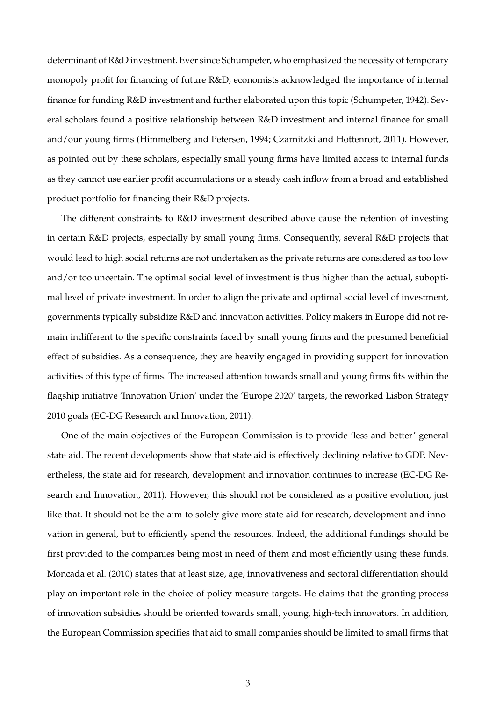determinant of R&D investment. Ever since Schumpeter, who emphasized the necessity of temporary monopoly profit for financing of future R&D, economists acknowledged the importance of internal finance for funding R&D investment and further elaborated upon this topic (Schumpeter, 1942). Several scholars found a positive relationship between R&D investment and internal finance for small and/our young firms (Himmelberg and Petersen, 1994; Czarnitzki and Hottenrott, 2011). However, as pointed out by these scholars, especially small young firms have limited access to internal funds as they cannot use earlier profit accumulations or a steady cash inflow from a broad and established product portfolio for financing their R&D projects.

The different constraints to R&D investment described above cause the retention of investing in certain R&D projects, especially by small young firms. Consequently, several R&D projects that would lead to high social returns are not undertaken as the private returns are considered as too low and/or too uncertain. The optimal social level of investment is thus higher than the actual, suboptimal level of private investment. In order to align the private and optimal social level of investment, governments typically subsidize R&D and innovation activities. Policy makers in Europe did not remain indifferent to the specific constraints faced by small young firms and the presumed beneficial effect of subsidies. As a consequence, they are heavily engaged in providing support for innovation activities of this type of firms. The increased attention towards small and young firms fits within the flagship initiative 'Innovation Union' under the 'Europe 2020' targets, the reworked Lisbon Strategy 2010 goals (EC-DG Research and Innovation, 2011).

One of the main objectives of the European Commission is to provide 'less and better' general state aid. The recent developments show that state aid is effectively declining relative to GDP. Nevertheless, the state aid for research, development and innovation continues to increase (EC-DG Research and Innovation, 2011). However, this should not be considered as a positive evolution, just like that. It should not be the aim to solely give more state aid for research, development and innovation in general, but to efficiently spend the resources. Indeed, the additional fundings should be first provided to the companies being most in need of them and most efficiently using these funds. Moncada et al. (2010) states that at least size, age, innovativeness and sectoral differentiation should play an important role in the choice of policy measure targets. He claims that the granting process of innovation subsidies should be oriented towards small, young, high-tech innovators. In addition, the European Commission specifies that aid to small companies should be limited to small firms that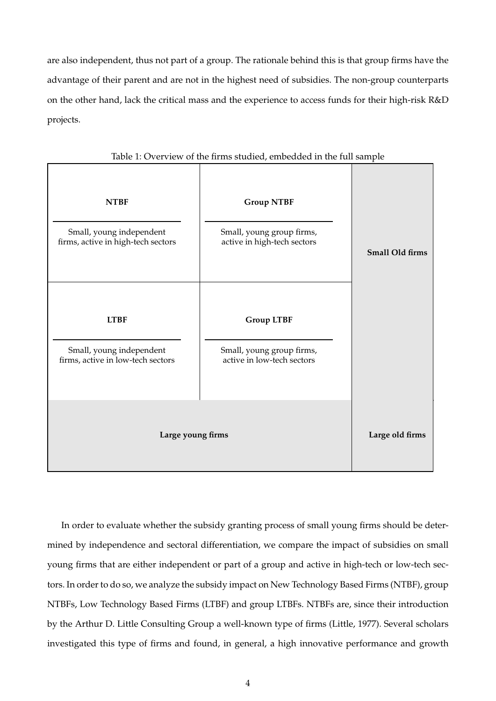are also independent, thus not part of a group. The rationale behind this is that group firms have the advantage of their parent and are not in the highest need of subsidies. The non-group counterparts on the other hand, lack the critical mass and the experience to access funds for their high-risk R&D projects.

| <b>NTBF</b>                                                    | <b>Group NTBF</b>                                        |                 |
|----------------------------------------------------------------|----------------------------------------------------------|-----------------|
| Small, young independent<br>firms, active in high-tech sectors | Small, young group firms,<br>active in high-tech sectors | Small Old firms |
| <b>LTBF</b>                                                    | <b>Group LTBF</b>                                        |                 |
| Small, young independent<br>firms, active in low-tech sectors  | Small, young group firms,<br>active in low-tech sectors  |                 |
| Large young firms                                              |                                                          | Large old firms |

#### Table 1: Overview of the firms studied, embedded in the full sample

In order to evaluate whether the subsidy granting process of small young firms should be determined by independence and sectoral differentiation, we compare the impact of subsidies on small young firms that are either independent or part of a group and active in high-tech or low-tech sectors. In order to do so, we analyze the subsidy impact on New Technology Based Firms (NTBF), group NTBFs, Low Technology Based Firms (LTBF) and group LTBFs. NTBFs are, since their introduction by the Arthur D. Little Consulting Group a well-known type of firms (Little, 1977). Several scholars investigated this type of firms and found, in general, a high innovative performance and growth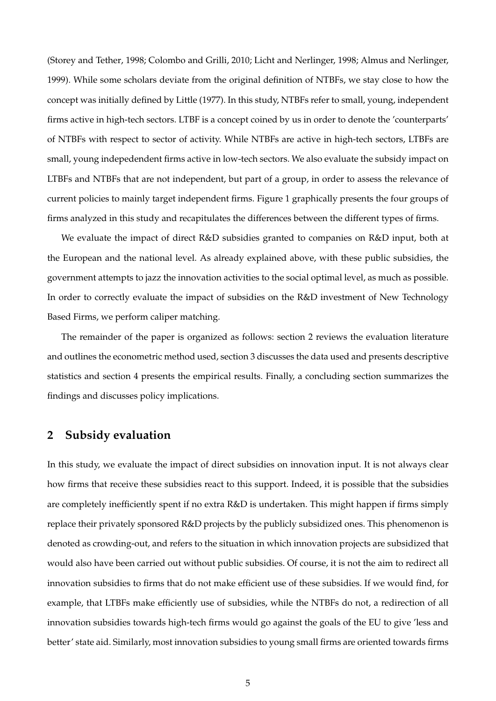(Storey and Tether, 1998; Colombo and Grilli, 2010; Licht and Nerlinger, 1998; Almus and Nerlinger, 1999). While some scholars deviate from the original definition of NTBFs, we stay close to how the concept was initially defined by Little (1977). In this study, NTBFs refer to small, young, independent firms active in high-tech sectors. LTBF is a concept coined by us in order to denote the 'counterparts' of NTBFs with respect to sector of activity. While NTBFs are active in high-tech sectors, LTBFs are small, young indepedendent firms active in low-tech sectors. We also evaluate the subsidy impact on LTBFs and NTBFs that are not independent, but part of a group, in order to assess the relevance of current policies to mainly target independent firms. Figure 1 graphically presents the four groups of firms analyzed in this study and recapitulates the differences between the different types of firms.

We evaluate the impact of direct R&D subsidies granted to companies on R&D input, both at the European and the national level. As already explained above, with these public subsidies, the government attempts to jazz the innovation activities to the social optimal level, as much as possible. In order to correctly evaluate the impact of subsidies on the R&D investment of New Technology Based Firms, we perform caliper matching.

The remainder of the paper is organized as follows: section 2 reviews the evaluation literature and outlines the econometric method used, section 3 discusses the data used and presents descriptive statistics and section 4 presents the empirical results. Finally, a concluding section summarizes the findings and discusses policy implications.

# **2 Subsidy evaluation**

In this study, we evaluate the impact of direct subsidies on innovation input. It is not always clear how firms that receive these subsidies react to this support. Indeed, it is possible that the subsidies are completely inefficiently spent if no extra R&D is undertaken. This might happen if firms simply replace their privately sponsored R&D projects by the publicly subsidized ones. This phenomenon is denoted as crowding-out, and refers to the situation in which innovation projects are subsidized that would also have been carried out without public subsidies. Of course, it is not the aim to redirect all innovation subsidies to firms that do not make efficient use of these subsidies. If we would find, for example, that LTBFs make efficiently use of subsidies, while the NTBFs do not, a redirection of all innovation subsidies towards high-tech firms would go against the goals of the EU to give 'less and better' state aid. Similarly, most innovation subsidies to young small firms are oriented towards firms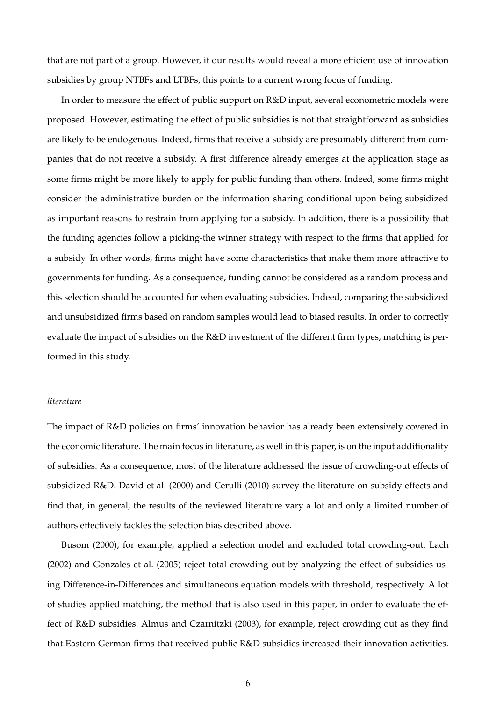that are not part of a group. However, if our results would reveal a more efficient use of innovation subsidies by group NTBFs and LTBFs, this points to a current wrong focus of funding.

In order to measure the effect of public support on R&D input, several econometric models were proposed. However, estimating the effect of public subsidies is not that straightforward as subsidies are likely to be endogenous. Indeed, firms that receive a subsidy are presumably different from companies that do not receive a subsidy. A first difference already emerges at the application stage as some firms might be more likely to apply for public funding than others. Indeed, some firms might consider the administrative burden or the information sharing conditional upon being subsidized as important reasons to restrain from applying for a subsidy. In addition, there is a possibility that the funding agencies follow a picking-the winner strategy with respect to the firms that applied for a subsidy. In other words, firms might have some characteristics that make them more attractive to governments for funding. As a consequence, funding cannot be considered as a random process and this selection should be accounted for when evaluating subsidies. Indeed, comparing the subsidized and unsubsidized firms based on random samples would lead to biased results. In order to correctly evaluate the impact of subsidies on the R&D investment of the different firm types, matching is performed in this study.

#### *literature*

The impact of R&D policies on firms' innovation behavior has already been extensively covered in the economic literature. The main focus in literature, as well in this paper, is on the input additionality of subsidies. As a consequence, most of the literature addressed the issue of crowding-out effects of subsidized R&D. David et al. (2000) and Cerulli (2010) survey the literature on subsidy effects and find that, in general, the results of the reviewed literature vary a lot and only a limited number of authors effectively tackles the selection bias described above.

Busom (2000), for example, applied a selection model and excluded total crowding-out. Lach (2002) and Gonzales et al. (2005) reject total crowding-out by analyzing the effect of subsidies using Difference-in-Differences and simultaneous equation models with threshold, respectively. A lot of studies applied matching, the method that is also used in this paper, in order to evaluate the effect of R&D subsidies. Almus and Czarnitzki (2003), for example, reject crowding out as they find that Eastern German firms that received public R&D subsidies increased their innovation activities.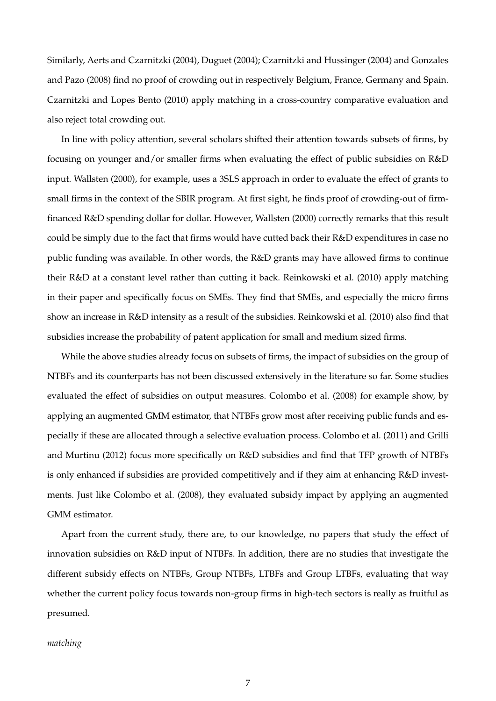Similarly, Aerts and Czarnitzki (2004), Duguet (2004); Czarnitzki and Hussinger (2004) and Gonzales and Pazo (2008) find no proof of crowding out in respectively Belgium, France, Germany and Spain. Czarnitzki and Lopes Bento (2010) apply matching in a cross-country comparative evaluation and also reject total crowding out.

In line with policy attention, several scholars shifted their attention towards subsets of firms, by focusing on younger and/or smaller firms when evaluating the effect of public subsidies on R&D input. Wallsten (2000), for example, uses a 3SLS approach in order to evaluate the effect of grants to small firms in the context of the SBIR program. At first sight, he finds proof of crowding-out of firmfinanced R&D spending dollar for dollar. However, Wallsten (2000) correctly remarks that this result could be simply due to the fact that firms would have cutted back their R&D expenditures in case no public funding was available. In other words, the R&D grants may have allowed firms to continue their R&D at a constant level rather than cutting it back. Reinkowski et al. (2010) apply matching in their paper and specifically focus on SMEs. They find that SMEs, and especially the micro firms show an increase in R&D intensity as a result of the subsidies. Reinkowski et al. (2010) also find that subsidies increase the probability of patent application for small and medium sized firms.

While the above studies already focus on subsets of firms, the impact of subsidies on the group of NTBFs and its counterparts has not been discussed extensively in the literature so far. Some studies evaluated the effect of subsidies on output measures. Colombo et al. (2008) for example show, by applying an augmented GMM estimator, that NTBFs grow most after receiving public funds and especially if these are allocated through a selective evaluation process. Colombo et al. (2011) and Grilli and Murtinu (2012) focus more specifically on R&D subsidies and find that TFP growth of NTBFs is only enhanced if subsidies are provided competitively and if they aim at enhancing R&D investments. Just like Colombo et al. (2008), they evaluated subsidy impact by applying an augmented GMM estimator.

Apart from the current study, there are, to our knowledge, no papers that study the effect of innovation subsidies on R&D input of NTBFs. In addition, there are no studies that investigate the different subsidy effects on NTBFs, Group NTBFs, LTBFs and Group LTBFs, evaluating that way whether the current policy focus towards non-group firms in high-tech sectors is really as fruitful as presumed.

## *matching*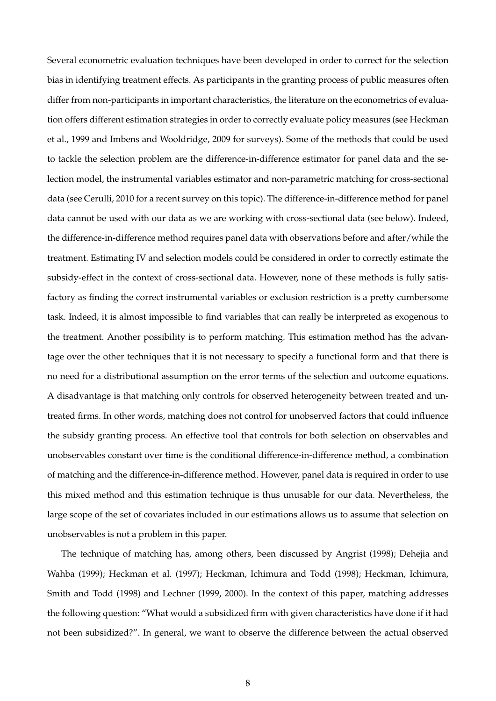Several econometric evaluation techniques have been developed in order to correct for the selection bias in identifying treatment effects. As participants in the granting process of public measures often differ from non-participants in important characteristics, the literature on the econometrics of evaluation offers different estimation strategies in order to correctly evaluate policy measures (see Heckman et al., 1999 and Imbens and Wooldridge, 2009 for surveys). Some of the methods that could be used to tackle the selection problem are the difference-in-difference estimator for panel data and the selection model, the instrumental variables estimator and non-parametric matching for cross-sectional data (see Cerulli, 2010 for a recent survey on this topic). The difference-in-difference method for panel data cannot be used with our data as we are working with cross-sectional data (see below). Indeed, the difference-in-difference method requires panel data with observations before and after/while the treatment. Estimating IV and selection models could be considered in order to correctly estimate the subsidy-effect in the context of cross-sectional data. However, none of these methods is fully satisfactory as finding the correct instrumental variables or exclusion restriction is a pretty cumbersome task. Indeed, it is almost impossible to find variables that can really be interpreted as exogenous to the treatment. Another possibility is to perform matching. This estimation method has the advantage over the other techniques that it is not necessary to specify a functional form and that there is no need for a distributional assumption on the error terms of the selection and outcome equations. A disadvantage is that matching only controls for observed heterogeneity between treated and untreated firms. In other words, matching does not control for unobserved factors that could influence the subsidy granting process. An effective tool that controls for both selection on observables and unobservables constant over time is the conditional difference-in-difference method, a combination of matching and the difference-in-difference method. However, panel data is required in order to use this mixed method and this estimation technique is thus unusable for our data. Nevertheless, the large scope of the set of covariates included in our estimations allows us to assume that selection on unobservables is not a problem in this paper.

The technique of matching has, among others, been discussed by Angrist (1998); Dehejia and Wahba (1999); Heckman et al. (1997); Heckman, Ichimura and Todd (1998); Heckman, Ichimura, Smith and Todd (1998) and Lechner (1999, 2000). In the context of this paper, matching addresses the following question: "What would a subsidized firm with given characteristics have done if it had not been subsidized?". In general, we want to observe the difference between the actual observed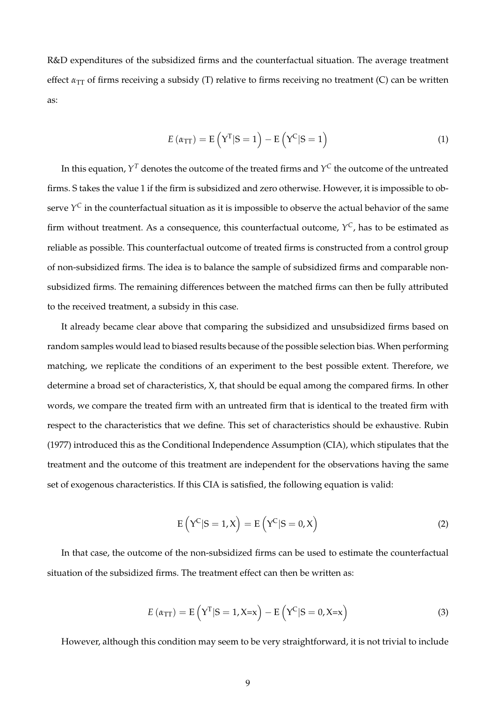R&D expenditures of the subsidized firms and the counterfactual situation. The average treatment effect  $\alpha_{TT}$  of firms receiving a subsidy (T) relative to firms receiving no treatment (C) can be written as:

$$
E(\alpha_{\text{TT}}) = E(\mathbf{Y}^{\text{T}}|\mathbf{S}=1) - E(\mathbf{Y}^{\text{C}}|\mathbf{S}=1)
$$
\n(1)

In this equation,  $Y^T$  denotes the outcome of the treated firms and  $Y^\mathsf{C}$  the outcome of the untreated firms. S takes the value 1 if the firm is subsidized and zero otherwise. However, it is impossible to observe  $Y^\mathsf{C}$  in the counterfactual situation as it is impossible to observe the actual behavior of the same firm without treatment. As a consequence, this counterfactual outcome, *Y <sup>C</sup>*, has to be estimated as reliable as possible. This counterfactual outcome of treated firms is constructed from a control group of non-subsidized firms. The idea is to balance the sample of subsidized firms and comparable nonsubsidized firms. The remaining differences between the matched firms can then be fully attributed to the received treatment, a subsidy in this case.

It already became clear above that comparing the subsidized and unsubsidized firms based on random samples would lead to biased results because of the possible selection bias. When performing matching, we replicate the conditions of an experiment to the best possible extent. Therefore, we determine a broad set of characteristics, X, that should be equal among the compared firms. In other words, we compare the treated firm with an untreated firm that is identical to the treated firm with respect to the characteristics that we define. This set of characteristics should be exhaustive. Rubin (1977) introduced this as the Conditional Independence Assumption (CIA), which stipulates that the treatment and the outcome of this treatment are independent for the observations having the same set of exogenous characteristics. If this CIA is satisfied, the following equation is valid:

$$
E(YC|S = 1, X) = E(YC|S = 0, X)
$$
\n(2)

In that case, the outcome of the non-subsidized firms can be used to estimate the counterfactual situation of the subsidized firms. The treatment effect can then be written as:

$$
E(\alpha_{\text{TT}}) = E\left(Y^{\text{T}}|S=1, X=x\right) - E\left(Y^{\text{C}}|S=0, X=x\right)
$$
\n(3)

However, although this condition may seem to be very straightforward, it is not trivial to include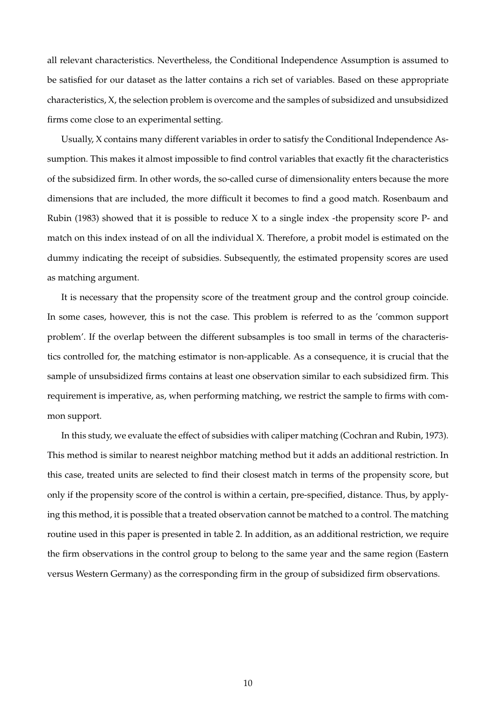all relevant characteristics. Nevertheless, the Conditional Independence Assumption is assumed to be satisfied for our dataset as the latter contains a rich set of variables. Based on these appropriate characteristics, X, the selection problem is overcome and the samples of subsidized and unsubsidized firms come close to an experimental setting.

Usually, X contains many different variables in order to satisfy the Conditional Independence Assumption. This makes it almost impossible to find control variables that exactly fit the characteristics of the subsidized firm. In other words, the so-called curse of dimensionality enters because the more dimensions that are included, the more difficult it becomes to find a good match. Rosenbaum and Rubin (1983) showed that it is possible to reduce  $X$  to a single index -the propensity score P- and match on this index instead of on all the individual X. Therefore, a probit model is estimated on the dummy indicating the receipt of subsidies. Subsequently, the estimated propensity scores are used as matching argument.

It is necessary that the propensity score of the treatment group and the control group coincide. In some cases, however, this is not the case. This problem is referred to as the 'common support problem'. If the overlap between the different subsamples is too small in terms of the characteristics controlled for, the matching estimator is non-applicable. As a consequence, it is crucial that the sample of unsubsidized firms contains at least one observation similar to each subsidized firm. This requirement is imperative, as, when performing matching, we restrict the sample to firms with common support.

In this study, we evaluate the effect of subsidies with caliper matching (Cochran and Rubin, 1973). This method is similar to nearest neighbor matching method but it adds an additional restriction. In this case, treated units are selected to find their closest match in terms of the propensity score, but only if the propensity score of the control is within a certain, pre-specified, distance. Thus, by applying this method, it is possible that a treated observation cannot be matched to a control. The matching routine used in this paper is presented in table 2. In addition, as an additional restriction, we require the firm observations in the control group to belong to the same year and the same region (Eastern versus Western Germany) as the corresponding firm in the group of subsidized firm observations.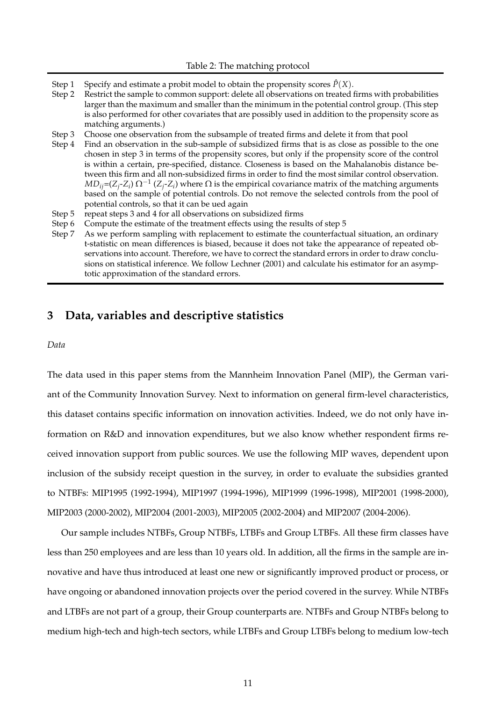- Step 1 Specify and estimate a probit model to obtain the propensity scores  $\hat{P}(X)$ .
- Step 2 Restrict the sample to common support: delete all observations on treated firms with probabilities larger than the maximum and smaller than the minimum in the potential control group. (This step is also performed for other covariates that are possibly used in addition to the propensity score as matching arguments.)
- Step 3 Choose one observation from the subsample of treated firms and delete it from that pool
- Step 4 Find an observation in the sub-sample of subsidized firms that is as close as possible to the one chosen in step 3 in terms of the propensity scores, but only if the propensity score of the control is within a certain, pre-specified, distance. Closeness is based on the Mahalanobis distance between this firm and all non-subsidized firms in order to find the most similar control observation.  $MD_{ij}$ =(*Z<sub>j</sub>*-*Z*<sub>*i*</sub>)  $\Omega$ <sup>-1</sup> (*Z<sub>j</sub>*-*Z*<sub>*i*</sub>) where  $\Omega$  is the empirical covariance matrix of the matching arguments based on the sample of potential controls. Do not remove the selected controls from the pool of potential controls, so that it can be ued again
- Step 5 repeat steps 3 and 4 for all observations on subsidized firms
- Step 6 Compute the estimate of the treatment effects using the results of step 5
- Step 7 As we perform sampling with replacement to estimate the counterfactual situation, an ordinary t-statistic on mean differences is biased, because it does not take the appearance of repeated observations into account. Therefore, we have to correct the standard errors in order to draw conclusions on statistical inference. We follow Lechner (2001) and calculate his estimator for an asymptotic approximation of the standard errors.

## **3 Data, variables and descriptive statistics**

*Data*

The data used in this paper stems from the Mannheim Innovation Panel (MIP), the German variant of the Community Innovation Survey. Next to information on general firm-level characteristics, this dataset contains specific information on innovation activities. Indeed, we do not only have information on R&D and innovation expenditures, but we also know whether respondent firms received innovation support from public sources. We use the following MIP waves, dependent upon inclusion of the subsidy receipt question in the survey, in order to evaluate the subsidies granted to NTBFs: MIP1995 (1992-1994), MIP1997 (1994-1996), MIP1999 (1996-1998), MIP2001 (1998-2000), MIP2003 (2000-2002), MIP2004 (2001-2003), MIP2005 (2002-2004) and MIP2007 (2004-2006).

Our sample includes NTBFs, Group NTBFs, LTBFs and Group LTBFs. All these firm classes have less than 250 employees and are less than 10 years old. In addition, all the firms in the sample are innovative and have thus introduced at least one new or significantly improved product or process, or have ongoing or abandoned innovation projects over the period covered in the survey. While NTBFs and LTBFs are not part of a group, their Group counterparts are. NTBFs and Group NTBFs belong to medium high-tech and high-tech sectors, while LTBFs and Group LTBFs belong to medium low-tech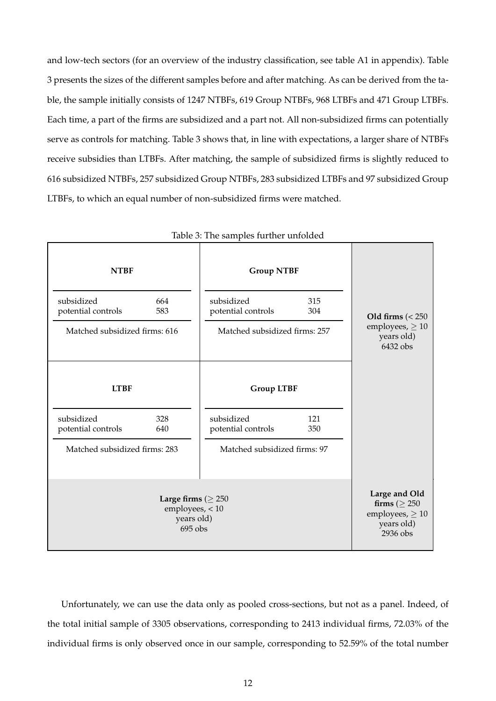and low-tech sectors (for an overview of the industry classification, see table A1 in appendix). Table 3 presents the sizes of the different samples before and after matching. As can be derived from the table, the sample initially consists of 1247 NTBFs, 619 Group NTBFs, 968 LTBFs and 471 Group LTBFs. Each time, a part of the firms are subsidized and a part not. All non-subsidized firms can potentially serve as controls for matching. Table 3 shows that, in line with expectations, a larger share of NTBFs receive subsidies than LTBFs. After matching, the sample of subsidized firms is slightly reduced to 616 subsidized NTBFs, 257 subsidized Group NTBFs, 283 subsidized LTBFs and 97 subsidized Group LTBFs, to which an equal number of non-subsidized firms were matched.

| <b>NTBF</b>                      |                                                                      | <b>Group NTBF</b>                |            |                                                                                       |
|----------------------------------|----------------------------------------------------------------------|----------------------------------|------------|---------------------------------------------------------------------------------------|
| subsidized<br>potential controls | 664<br>583                                                           | subsidized<br>potential controls | 315<br>304 | Old firms $\left( < 250 \right)$                                                      |
| Matched subsidized firms: 616    |                                                                      | Matched subsidized firms: 257    |            | employees, $\geq 10$<br>years old)<br>6432 obs                                        |
| <b>LTBF</b>                      |                                                                      | <b>Group LTBF</b>                |            |                                                                                       |
| subsidized<br>potential controls | 328<br>640                                                           | subsidized<br>potential controls | 121<br>350 |                                                                                       |
| Matched subsidized firms: 283    |                                                                      | Matched subsidized firms: 97     |            |                                                                                       |
|                                  | Large firms ( $\geq 250$<br>employees, < 10<br>years old)<br>695 obs |                                  |            | Large and Old<br>firms ( $\geq 250$<br>employees, $\geq 10$<br>years old)<br>2936 obs |

Table 3: The samples further unfolded

Unfortunately, we can use the data only as pooled cross-sections, but not as a panel. Indeed, of the total initial sample of 3305 observations, corresponding to 2413 individual firms, 72.03% of the individual firms is only observed once in our sample, corresponding to 52.59% of the total number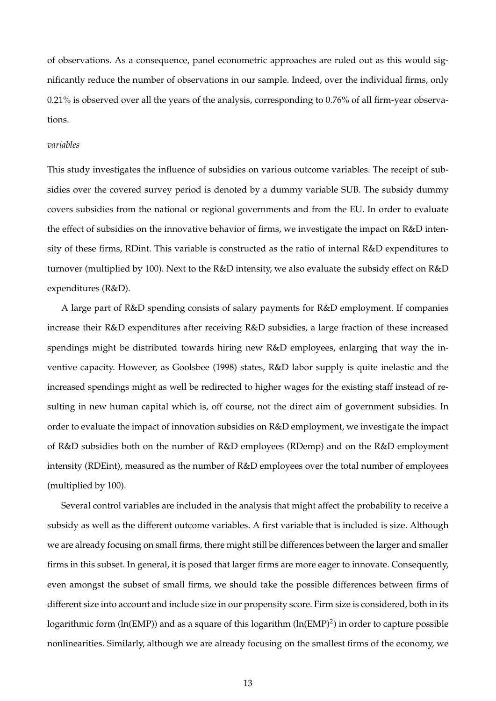of observations. As a consequence, panel econometric approaches are ruled out as this would significantly reduce the number of observations in our sample. Indeed, over the individual firms, only 0.21% is observed over all the years of the analysis, corresponding to 0.76% of all firm-year observations.

#### *variables*

This study investigates the influence of subsidies on various outcome variables. The receipt of subsidies over the covered survey period is denoted by a dummy variable SUB. The subsidy dummy covers subsidies from the national or regional governments and from the EU. In order to evaluate the effect of subsidies on the innovative behavior of firms, we investigate the impact on R&D intensity of these firms, RDint. This variable is constructed as the ratio of internal R&D expenditures to turnover (multiplied by 100). Next to the R&D intensity, we also evaluate the subsidy effect on R&D expenditures (R&D).

A large part of R&D spending consists of salary payments for R&D employment. If companies increase their R&D expenditures after receiving R&D subsidies, a large fraction of these increased spendings might be distributed towards hiring new R&D employees, enlarging that way the inventive capacity. However, as Goolsbee (1998) states, R&D labor supply is quite inelastic and the increased spendings might as well be redirected to higher wages for the existing staff instead of resulting in new human capital which is, off course, not the direct aim of government subsidies. In order to evaluate the impact of innovation subsidies on R&D employment, we investigate the impact of R&D subsidies both on the number of R&D employees (RDemp) and on the R&D employment intensity (RDEint), measured as the number of R&D employees over the total number of employees (multiplied by 100).

Several control variables are included in the analysis that might affect the probability to receive a subsidy as well as the different outcome variables. A first variable that is included is size. Although we are already focusing on small firms, there might still be differences between the larger and smaller firms in this subset. In general, it is posed that larger firms are more eager to innovate. Consequently, even amongst the subset of small firms, we should take the possible differences between firms of different size into account and include size in our propensity score. Firm size is considered, both in its logarithmic form (ln(EMP)) and as a square of this logarithm (ln(EMP)<sup>2</sup>) in order to capture possible nonlinearities. Similarly, although we are already focusing on the smallest firms of the economy, we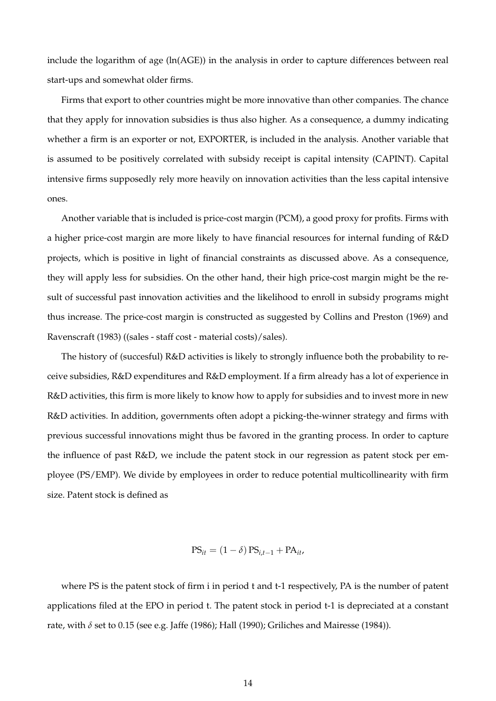include the logarithm of age (ln(AGE)) in the analysis in order to capture differences between real start-ups and somewhat older firms.

Firms that export to other countries might be more innovative than other companies. The chance that they apply for innovation subsidies is thus also higher. As a consequence, a dummy indicating whether a firm is an exporter or not, EXPORTER, is included in the analysis. Another variable that is assumed to be positively correlated with subsidy receipt is capital intensity (CAPINT). Capital intensive firms supposedly rely more heavily on innovation activities than the less capital intensive ones.

Another variable that is included is price-cost margin (PCM), a good proxy for profits. Firms with a higher price-cost margin are more likely to have financial resources for internal funding of R&D projects, which is positive in light of financial constraints as discussed above. As a consequence, they will apply less for subsidies. On the other hand, their high price-cost margin might be the result of successful past innovation activities and the likelihood to enroll in subsidy programs might thus increase. The price-cost margin is constructed as suggested by Collins and Preston (1969) and Ravenscraft (1983) ((sales - staff cost - material costs)/sales).

The history of (succesful) R&D activities is likely to strongly influence both the probability to receive subsidies, R&D expenditures and R&D employment. If a firm already has a lot of experience in R&D activities, this firm is more likely to know how to apply for subsidies and to invest more in new R&D activities. In addition, governments often adopt a picking-the-winner strategy and firms with previous successful innovations might thus be favored in the granting process. In order to capture the influence of past R&D, we include the patent stock in our regression as patent stock per employee (PS/EMP). We divide by employees in order to reduce potential multicollinearity with firm size. Patent stock is defined as

$$
PS_{it} = (1 - \delta) PS_{i,t-1} + PA_{it},
$$

where PS is the patent stock of firm i in period t and t-1 respectively, PA is the number of patent applications filed at the EPO in period t. The patent stock in period t-1 is depreciated at a constant rate, with *δ* set to 0.15 (see e.g. Jaffe (1986); Hall (1990); Griliches and Mairesse (1984)).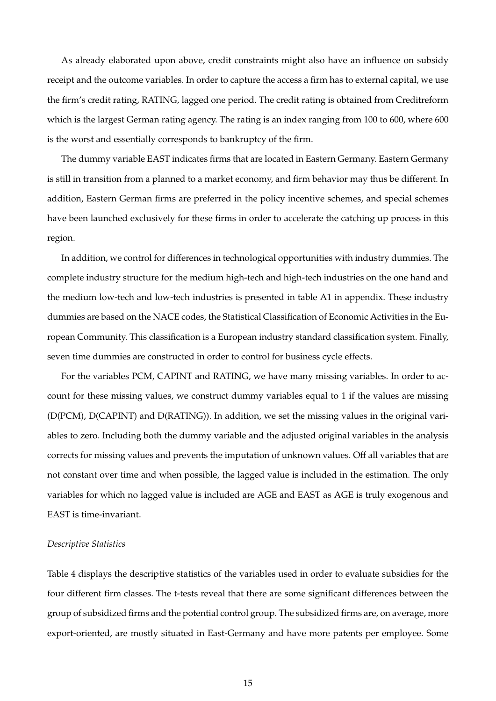As already elaborated upon above, credit constraints might also have an influence on subsidy receipt and the outcome variables. In order to capture the access a firm has to external capital, we use the firm's credit rating, RATING, lagged one period. The credit rating is obtained from Creditreform which is the largest German rating agency. The rating is an index ranging from 100 to 600, where 600 is the worst and essentially corresponds to bankruptcy of the firm.

The dummy variable EAST indicates firms that are located in Eastern Germany. Eastern Germany is still in transition from a planned to a market economy, and firm behavior may thus be different. In addition, Eastern German firms are preferred in the policy incentive schemes, and special schemes have been launched exclusively for these firms in order to accelerate the catching up process in this region.

In addition, we control for differences in technological opportunities with industry dummies. The complete industry structure for the medium high-tech and high-tech industries on the one hand and the medium low-tech and low-tech industries is presented in table A1 in appendix. These industry dummies are based on the NACE codes, the Statistical Classification of Economic Activities in the European Community. This classification is a European industry standard classification system. Finally, seven time dummies are constructed in order to control for business cycle effects.

For the variables PCM, CAPINT and RATING, we have many missing variables. In order to account for these missing values, we construct dummy variables equal to 1 if the values are missing (D(PCM), D(CAPINT) and D(RATING)). In addition, we set the missing values in the original variables to zero. Including both the dummy variable and the adjusted original variables in the analysis corrects for missing values and prevents the imputation of unknown values. Off all variables that are not constant over time and when possible, the lagged value is included in the estimation. The only variables for which no lagged value is included are AGE and EAST as AGE is truly exogenous and EAST is time-invariant.

#### *Descriptive Statistics*

Table 4 displays the descriptive statistics of the variables used in order to evaluate subsidies for the four different firm classes. The t-tests reveal that there are some significant differences between the group of subsidized firms and the potential control group. The subsidized firms are, on average, more export-oriented, are mostly situated in East-Germany and have more patents per employee. Some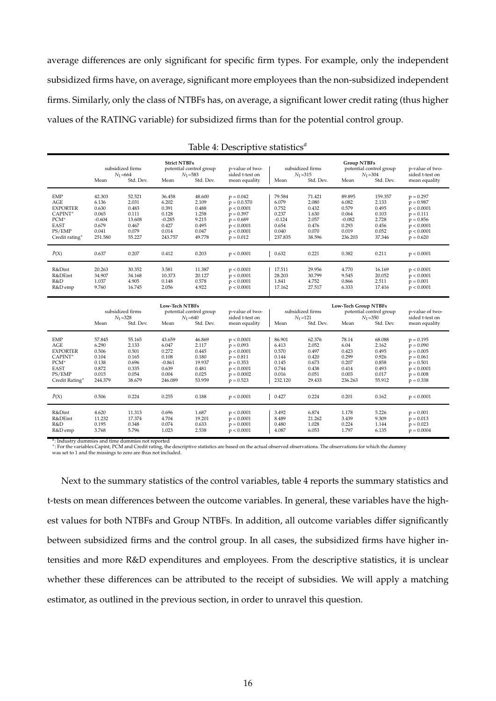average differences are only significant for specific firm types. For example, only the independent subsidized firms have, on average, significant more employees than the non-subsidized independent firms. Similarly, only the class of NTBFs has, on average, a significant lower credit rating (thus higher values of the RATING variable) for subsidized firms than for the potential control group.

|                                                                                                | Mean                                                                       | subsidized firms<br>$N_1 = 664$<br>Std. Dev.                            | <b>Strict NTBFs</b><br>Mean                                                | potential control group<br>$N_1 = 583$<br>Std. Dev.                     | p-value of two-<br>sided t-test on<br>mean equality                                                                 | Mean                                                                       | subsidized firms<br>$N_1 = 315$<br>Std. Dev.                           | <b>Group NTBFs</b><br>Mean                                                 | potential control group<br>$N_1 = 304$<br>Std. Dev.                     | p-value of two-<br>sided t-test on<br>mean equality                                                                 |
|------------------------------------------------------------------------------------------------|----------------------------------------------------------------------------|-------------------------------------------------------------------------|----------------------------------------------------------------------------|-------------------------------------------------------------------------|---------------------------------------------------------------------------------------------------------------------|----------------------------------------------------------------------------|------------------------------------------------------------------------|----------------------------------------------------------------------------|-------------------------------------------------------------------------|---------------------------------------------------------------------------------------------------------------------|
| <b>EMP</b><br>AGE<br><b>EXPORTER</b><br>CAPINT*<br>$PCM^*$<br>EAST<br>PS/EMP<br>Credit rating* | 42.303<br>6.136<br>0.630<br>0.065<br>$-0.604$<br>0.679<br>0.041<br>251.580 | 52.521<br>2.031<br>0.483<br>0.111<br>13.608<br>0.467<br>0.079<br>55.227 | 36.458<br>6.202<br>0.391<br>0.128<br>$-0.285$<br>0.427<br>0.014<br>243.757 | 48.600<br>2.109<br>0.488<br>1.258<br>9.215<br>0.495<br>0.047<br>49.778  | $p = 0.042$<br>$p = 0.0.570$<br>p < 0.0001<br>$p = 0.397$<br>$p = 0.689$<br>p < 0.0001<br>p < 0.0001<br>$p = 0.012$ | 79.584<br>6.079<br>0.752<br>0.237<br>$-0.124$<br>0.654<br>0.040<br>237.835 | 71.421<br>2.080<br>0.432<br>1.630<br>2.057<br>0.476<br>0.070<br>38.596 | 89.895<br>6.082<br>0.579<br>0.064<br>$-0.082$<br>0.293<br>0.019<br>236.203 | 159.357<br>2.133<br>0.495<br>0.103<br>2.728<br>0.456<br>0.052<br>37.346 | $p = 0.297$<br>$p = 0.987$<br>p < 0.0001<br>$p = 0.111$<br>$p = 0.856$<br>p < 0.0001<br>p < 0.0001<br>$p = 0.620$   |
| $\hat{P}(X)$                                                                                   | 0.637                                                                      | 0.207                                                                   | 0.412                                                                      | 0.203                                                                   | p < 0.0001                                                                                                          | 0.632                                                                      | 0.221                                                                  | 0.382                                                                      | 0.211                                                                   | p < 0.0001                                                                                                          |
| R&Dint<br>R&DEint<br>R&D<br>R&D emp                                                            | 20.263<br>34.907<br>1.037<br>9.760                                         | 30.352<br>34.168<br>4.905<br>16.745                                     | 3.581<br>10.373<br>0.148<br>2.056                                          | 11.387<br>20.127<br>0.578<br>4.922                                      | p < 0.0001<br>p < 0.0001<br>p < 0.0001<br>p < 0.0001                                                                | 17.511<br>28.203<br>1.841<br>17.162                                        | 29.956<br>30.799<br>4.752<br>27.517                                    | 4.770<br>9.545<br>0.866<br>6.333                                           | 16.169<br>20.052<br>2.511<br>17.416                                     | p < 0.0001<br>p < 0.0001<br>$p = 0.001$<br>p < 0.0001                                                               |
|                                                                                                |                                                                            |                                                                         |                                                                            |                                                                         |                                                                                                                     |                                                                            |                                                                        |                                                                            |                                                                         |                                                                                                                     |
|                                                                                                | Mean                                                                       | subsidized firms<br>$N_1 = 328$<br>Std. Dev.                            | <b>Low-Tech NTBFs</b><br>Mean                                              | potential control group<br>$N_1 = 640$<br>Std. Dev.                     | p-value of two-<br>sided t-test on<br>mean equality                                                                 | Mean                                                                       | subsidized firms<br>$N_1 = 121$<br>Std. Dev.                           | <b>Low-Tech Group NTBFs</b><br>Mean                                        | potential control group<br>$N_1 = 350$<br>Std. Dev.                     | p-value of two-<br>sided t-test on<br>mean equality                                                                 |
| <b>EMP</b><br>AGE<br><b>EXPORTER</b><br>CAPINT*<br>$PCM^*$<br>EAST<br>PS/EMP<br>Credit Rating* | 57.845<br>6.290<br>0.506<br>0.104<br>0.138<br>0.872<br>0.015<br>244.379    | 55.165<br>2.133<br>0.501<br>0.165<br>0.696<br>0.335<br>0.054<br>38.679  | 43.659<br>6.047<br>0.272<br>0.108<br>$-0.861$<br>0.639<br>0.004<br>246.089 | 46.869<br>2.117<br>0.445<br>0.180<br>19.937<br>0.481<br>0.025<br>53.959 | p < 0.0001<br>$p = 0.093$<br>p < 0.0001<br>$p = 0.811$<br>$p = 0.353$<br>p < 0.0001<br>$p = 0.0002$<br>$p = 0.523$  | 86,901<br>6.413<br>0.570<br>0.144<br>0.145<br>0.744<br>0.016<br>232.120    | 62.376<br>2.052<br>0.497<br>0.420<br>0.673<br>0.438<br>0.051<br>29.433 | 78.14<br>6.04<br>0.423<br>0.299<br>0.207<br>0.414<br>0.003<br>236.263      | 68.088<br>2.162<br>0.495<br>0.926<br>0.858<br>0.493<br>0.017<br>55.912  | $p = 0.195$<br>$p = 0.090$<br>$p = 0.005$<br>$p = 0.061$<br>$p = 0.501$<br>p < 0.0001<br>$p = 0.008$<br>$p = 0.338$ |
| $\hat{P}(X)$                                                                                   | 0.506                                                                      | 0.224                                                                   | 0.255                                                                      | 0.188                                                                   | p < 0.0001                                                                                                          | 0.427                                                                      | 0.224                                                                  | 0.201                                                                      | 0.162                                                                   | p < 0.0001                                                                                                          |

Table 4: Descriptive statistics*<sup>a</sup>*

: Industry dummies and time dummies not reported

4: Industry dummies and time dummies not reported<br>\*: For the variables Capint, PCM and Credit rating, the descriptive statistics are based on the actual observed observations. The observations for which the dummy<br>was set t

Next to the summary statistics of the control variables, table 4 reports the summary statistics and t-tests on mean differences between the outcome variables. In general, these variables have the highest values for both NTBFs and Group NTBFs. In addition, all outcome variables differ significantly between subsidized firms and the control group. In all cases, the subsidized firms have higher intensities and more R&D expenditures and employees. From the descriptive statistics, it is unclear whether these differences can be attributed to the receipt of subsidies. We will apply a matching estimator, as outlined in the previous section, in order to unravel this question.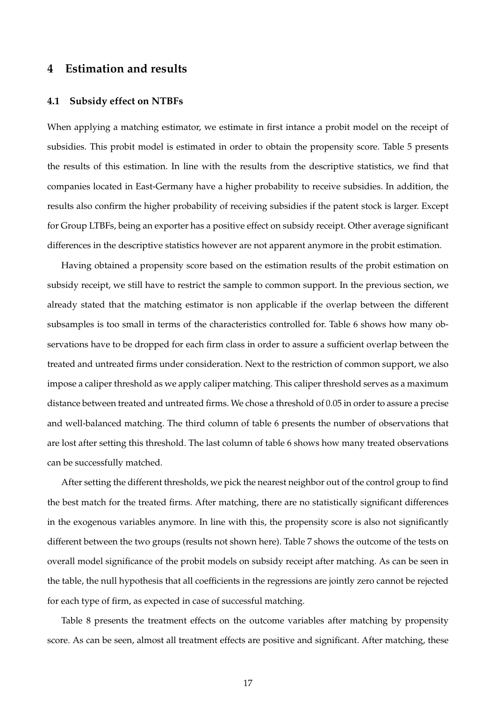## **4 Estimation and results**

#### **4.1 Subsidy effect on NTBFs**

When applying a matching estimator, we estimate in first intance a probit model on the receipt of subsidies. This probit model is estimated in order to obtain the propensity score. Table 5 presents the results of this estimation. In line with the results from the descriptive statistics, we find that companies located in East-Germany have a higher probability to receive subsidies. In addition, the results also confirm the higher probability of receiving subsidies if the patent stock is larger. Except for Group LTBFs, being an exporter has a positive effect on subsidy receipt. Other average significant differences in the descriptive statistics however are not apparent anymore in the probit estimation.

Having obtained a propensity score based on the estimation results of the probit estimation on subsidy receipt, we still have to restrict the sample to common support. In the previous section, we already stated that the matching estimator is non applicable if the overlap between the different subsamples is too small in terms of the characteristics controlled for. Table 6 shows how many observations have to be dropped for each firm class in order to assure a sufficient overlap between the treated and untreated firms under consideration. Next to the restriction of common support, we also impose a caliper threshold as we apply caliper matching. This caliper threshold serves as a maximum distance between treated and untreated firms. We chose a threshold of 0.05 in order to assure a precise and well-balanced matching. The third column of table 6 presents the number of observations that are lost after setting this threshold. The last column of table 6 shows how many treated observations can be successfully matched.

After setting the different thresholds, we pick the nearest neighbor out of the control group to find the best match for the treated firms. After matching, there are no statistically significant differences in the exogenous variables anymore. In line with this, the propensity score is also not significantly different between the two groups (results not shown here). Table 7 shows the outcome of the tests on overall model significance of the probit models on subsidy receipt after matching. As can be seen in the table, the null hypothesis that all coefficients in the regressions are jointly zero cannot be rejected for each type of firm, as expected in case of successful matching.

Table 8 presents the treatment effects on the outcome variables after matching by propensity score. As can be seen, almost all treatment effects are positive and significant. After matching, these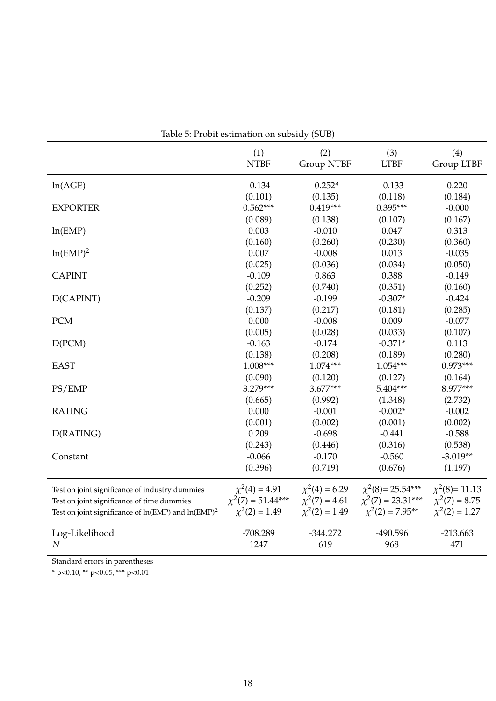|                                                                       | Table 5: Probit estimation on subsidy (SUB) |                    |                        |                     |
|-----------------------------------------------------------------------|---------------------------------------------|--------------------|------------------------|---------------------|
|                                                                       | (1)                                         | (2)                | (3)                    | (4)                 |
|                                                                       | <b>NTBF</b>                                 | <b>Group NTBF</b>  | <b>LTBF</b>            | Group LTBF          |
| ln(AGE)                                                               | $-0.134$                                    | $-0.252*$          | $-0.133$               | 0.220               |
|                                                                       | (0.101)                                     | (0.135)            | (0.118)                | (0.184)             |
| <b>EXPORTER</b>                                                       | $0.562***$                                  | $0.419***$         | 0.395***               | $-0.000$            |
| ln(EMP)                                                               | (0.089)                                     | (0.138)            | (0.107)                | (0.167)             |
|                                                                       | 0.003                                       | $-0.010$           | 0.047                  | 0.313               |
|                                                                       | (0.160)                                     | (0.260)            | (0.230)                | (0.360)             |
| $ln(EMP)^2$                                                           | 0.007                                       | $-0.008$           | 0.013                  | $-0.035$            |
|                                                                       | (0.025)                                     | (0.036)            | (0.034)                | (0.050)             |
| <b>CAPINT</b>                                                         | $-0.109$                                    | 0.863              | 0.388                  | $-0.149$            |
| D(CAPINT)                                                             | (0.252)                                     | (0.740)            | (0.351)                | (0.160)             |
|                                                                       | $-0.209$                                    | $-0.199$           | $-0.307*$              | $-0.424$            |
|                                                                       | (0.137)                                     | (0.217)            | (0.181)                | (0.285)             |
| <b>PCM</b>                                                            | 0.000                                       | $-0.008$           | 0.009                  | $-0.077$            |
|                                                                       | (0.005)                                     | (0.028)            | (0.033)                | (0.107)             |
| D(PCM)                                                                | $-0.163$                                    | $-0.174$           | $-0.371*$              | 0.113               |
| <b>EAST</b>                                                           | (0.138)                                     | (0.208)            | (0.189)                | (0.280)             |
|                                                                       | $1.008***$                                  | 1.074***           | 1.054***               | $0.973***$          |
| PS/EMP                                                                | (0.090)                                     | (0.120)            | (0.127)                | (0.164)             |
|                                                                       | 3.279***                                    | $3.677***$         | 5.404***               | 8.977***            |
| <b>RATING</b>                                                         | (0.665)                                     | (0.992)            | (1.348)                | (2.732)             |
|                                                                       | 0.000                                       | $-0.001$           | $-0.002*$              | $-0.002$            |
|                                                                       | (0.001)                                     | (0.002)            | (0.001)                | (0.002)             |
| D(RATING)                                                             | 0.209                                       | $-0.698$           | $-0.441$               | $-0.588$            |
| Constant                                                              | (0.243)                                     | (0.446)            | (0.316)                | (0.538)             |
|                                                                       | $-0.066$                                    | $-0.170$           | $-0.560$               | $-3.019**$          |
|                                                                       | (0.396)                                     | (0.719)            | (0.676)                | (1.197)             |
| Test on joint significance of industry dummies                        | $\chi^2(4) = 4.91$                          | $\chi^2(4) = 6.29$ | $\chi^2(8)$ = 25.54*** | $\chi^2(8)$ = 11.13 |
| Test on joint significance of time dummies                            | $\chi^2(7) = 51.44***$                      | $\chi^2(7) = 4.61$ | $\chi^2(7) = 23.31***$ | $\chi^2(7) = 8.75$  |
| Test on joint significance of $ln(\text{EMP})$ and $ln(\text{EMP})^2$ | $\chi^2(2) = 1.49$                          | $\chi^2(2) = 1.49$ | $\chi^2(2) = 7.95**$   | $\chi^2(2) = 1.27$  |
| Log-Likelihood                                                        | -708.289                                    | $-344.272$         | -490.596               | $-213.663$          |
| $\cal N$                                                              | 1247                                        | 619                | 968                    | 471                 |

Standard errors in parentheses

\* p<0.10, \*\* p<0.05, \*\*\* p<0.01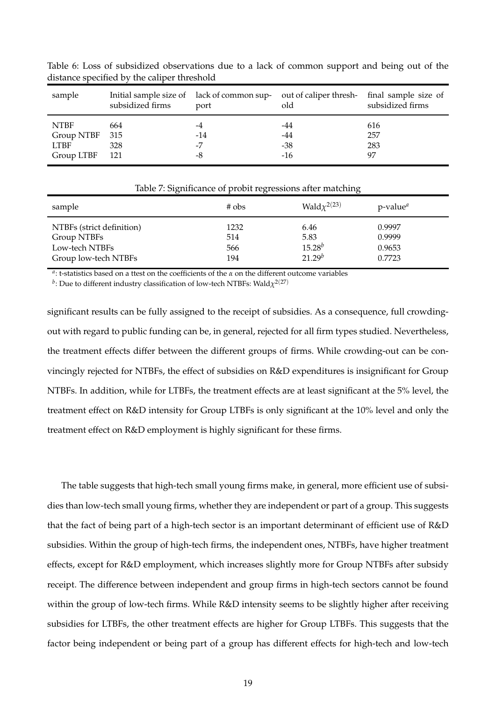| sample      | subsidized firms | Initial sample size of lack of common sup-<br>port | out of caliper thresh-<br>old | final sample size of<br>subsidized firms |
|-------------|------------------|----------------------------------------------------|-------------------------------|------------------------------------------|
| <b>NTBF</b> | 664              | -4                                                 | -44                           | 616                                      |
| Group NTBF  | 315              | -14                                                | -44                           | 257                                      |
| <b>LTBF</b> | 328              | -7                                                 | $-38$                         | 283                                      |
| Group LTBF  | - 121            | -8                                                 | -16                           | 97                                       |

Table 6: Loss of subsidized observations due to a lack of common support and being out of the distance specified by the caliper threshold

|                                                                                    | .,                        | ◡                                          |                                      |
|------------------------------------------------------------------------------------|---------------------------|--------------------------------------------|--------------------------------------|
| sample                                                                             | $#$ obs                   | Wald $\chi^{2(23)}$                        | $p$ -value <sup><i>a</i></sup>       |
| NTBFs (strict definition)<br>Group NTBFs<br>Low-tech NTBFs<br>Group low-tech NTBFs | 1232<br>514<br>566<br>194 | 6.46<br>5.83<br>$15.28^{b}$<br>$21.29^{b}$ | 0.9997<br>0.9999<br>0.9653<br>0.7723 |

Table 7: Significance of probit regressions after matching

*a* : t-statistics based on a ttest on the coefficients of the *α* on the different outcome variables

 $^b$ : Due to different industry classification of low-tech NTBFs: Wald $\chi^{2(27)}$ 

significant results can be fully assigned to the receipt of subsidies. As a consequence, full crowdingout with regard to public funding can be, in general, rejected for all firm types studied. Nevertheless, the treatment effects differ between the different groups of firms. While crowding-out can be convincingly rejected for NTBFs, the effect of subsidies on R&D expenditures is insignificant for Group NTBFs. In addition, while for LTBFs, the treatment effects are at least significant at the 5% level, the treatment effect on R&D intensity for Group LTBFs is only significant at the 10% level and only the treatment effect on R&D employment is highly significant for these firms.

The table suggests that high-tech small young firms make, in general, more efficient use of subsidies than low-tech small young firms, whether they are independent or part of a group. This suggests that the fact of being part of a high-tech sector is an important determinant of efficient use of R&D subsidies. Within the group of high-tech firms, the independent ones, NTBFs, have higher treatment effects, except for R&D employment, which increases slightly more for Group NTBFs after subsidy receipt. The difference between independent and group firms in high-tech sectors cannot be found within the group of low-tech firms. While R&D intensity seems to be slightly higher after receiving subsidies for LTBFs, the other treatment effects are higher for Group LTBFs. This suggests that the factor being independent or being part of a group has different effects for high-tech and low-tech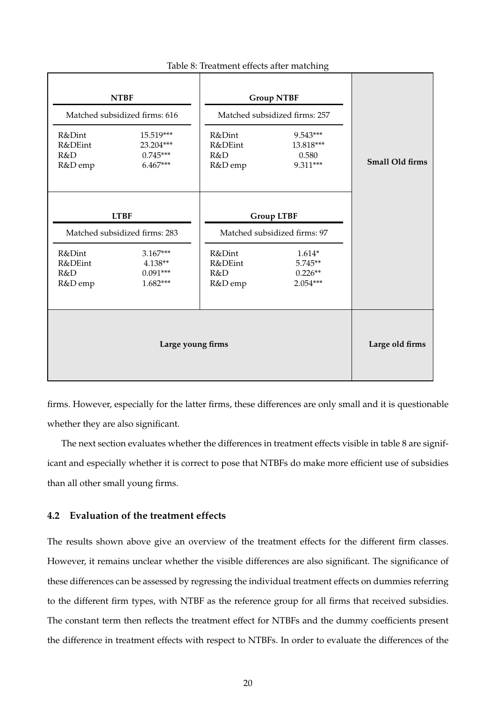| R&Dint<br>R&DEint<br>R&D<br>R&D emp | <b>NTBF</b><br>Matched subsidized firms: 616<br>15.519***<br>23.204***<br>$0.745***$<br>$6.467***$  | R&Dint<br>R&DEint<br>R&D<br>R&D emp | <b>Group NTBF</b><br>Matched subsidized firms: 257<br>9.543***<br>13.818***<br>0.580<br>9.311***    | Small Old firms |
|-------------------------------------|-----------------------------------------------------------------------------------------------------|-------------------------------------|-----------------------------------------------------------------------------------------------------|-----------------|
| R&Dint<br>R&DEint<br>R&D<br>R&D emp | <b>LTBF</b><br>Matched subsidized firms: 283<br>$3.167***$<br>$4.138**$<br>$0.091***$<br>$1.682***$ | R&Dint<br>R&DEint<br>R&D<br>R&D emp | <b>Group LTBF</b><br>Matched subsidized firms: 97<br>$1.614*$<br>5.745**<br>$0.226**$<br>$2.054***$ |                 |
|                                     | Large young firms                                                                                   |                                     |                                                                                                     | Large old firms |

#### Table 8: Treatment effects after matching

firms. However, especially for the latter firms, these differences are only small and it is questionable whether they are also significant.

The next section evaluates whether the differences in treatment effects visible in table 8 are significant and especially whether it is correct to pose that NTBFs do make more efficient use of subsidies than all other small young firms.

## **4.2 Evaluation of the treatment effects**

The results shown above give an overview of the treatment effects for the different firm classes. However, it remains unclear whether the visible differences are also significant. The significance of these differences can be assessed by regressing the individual treatment effects on dummies referring to the different firm types, with NTBF as the reference group for all firms that received subsidies. The constant term then reflects the treatment effect for NTBFs and the dummy coefficients present the difference in treatment effects with respect to NTBFs. In order to evaluate the differences of the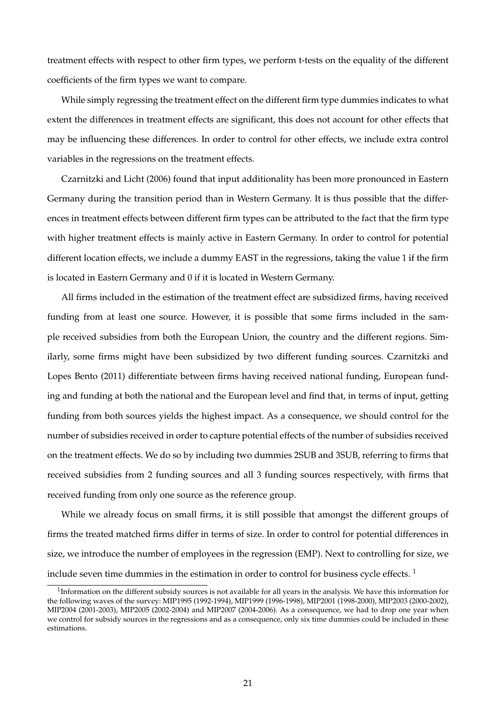treatment effects with respect to other firm types, we perform t-tests on the equality of the different coefficients of the firm types we want to compare.

While simply regressing the treatment effect on the different firm type dummies indicates to what extent the differences in treatment effects are significant, this does not account for other effects that may be influencing these differences. In order to control for other effects, we include extra control variables in the regressions on the treatment effects.

Czarnitzki and Licht (2006) found that input additionality has been more pronounced in Eastern Germany during the transition period than in Western Germany. It is thus possible that the differences in treatment effects between different firm types can be attributed to the fact that the firm type with higher treatment effects is mainly active in Eastern Germany. In order to control for potential different location effects, we include a dummy EAST in the regressions, taking the value 1 if the firm is located in Eastern Germany and 0 if it is located in Western Germany.

All firms included in the estimation of the treatment effect are subsidized firms, having received funding from at least one source. However, it is possible that some firms included in the sample received subsidies from both the European Union, the country and the different regions. Similarly, some firms might have been subsidized by two different funding sources. Czarnitzki and Lopes Bento (2011) differentiate between firms having received national funding, European funding and funding at both the national and the European level and find that, in terms of input, getting funding from both sources yields the highest impact. As a consequence, we should control for the number of subsidies received in order to capture potential effects of the number of subsidies received on the treatment effects. We do so by including two dummies 2SUB and 3SUB, referring to firms that received subsidies from 2 funding sources and all 3 funding sources respectively, with firms that received funding from only one source as the reference group.

While we already focus on small firms, it is still possible that amongst the different groups of firms the treated matched firms differ in terms of size. In order to control for potential differences in size, we introduce the number of employees in the regression (EMP). Next to controlling for size, we include seven time dummies in the estimation in order to control for business cycle effects.<sup>1</sup>

 $^1$ Information on the different subsidy sources is not available for all years in the analysis. We have this information for the following waves of the survey: MIP1995 (1992-1994), MIP1999 (1996-1998), MIP2001 (1998-2000), MIP2003 (2000-2002), MIP2004 (2001-2003), MIP2005 (2002-2004) and MIP2007 (2004-2006). As a consequence, we had to drop one year when we control for subsidy sources in the regressions and as a consequence, only six time dummies could be included in these estimations.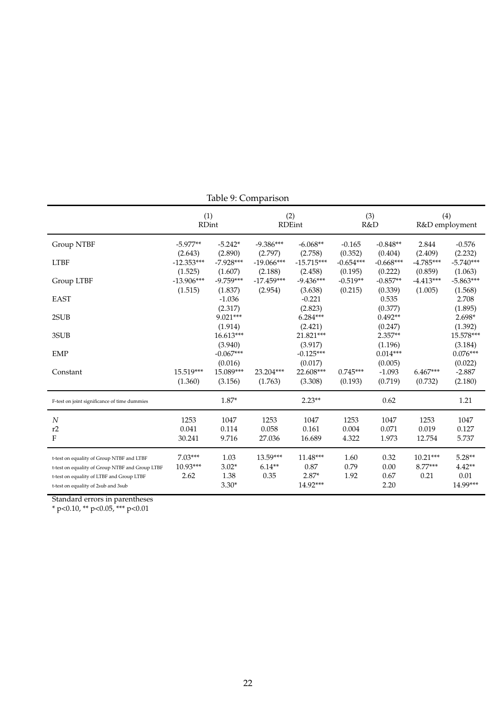|                                                                                                                                                                                  | (1)<br><b>RDint</b>             |                                    | (2)                            | <b>RDEint</b>                             | R&D                    | (3)                          |                               | (4)<br>R&D employment                    |
|----------------------------------------------------------------------------------------------------------------------------------------------------------------------------------|---------------------------------|------------------------------------|--------------------------------|-------------------------------------------|------------------------|------------------------------|-------------------------------|------------------------------------------|
| Group NTBF                                                                                                                                                                       | $-5.977**$<br>(2.643)           | $-5.242*$<br>(2.890)               | $-9.386***$<br>(2.797)         | $-6.068**$<br>(2.758)                     | $-0.165$<br>(0.352)    | $-0.848**$<br>(0.404)        | 2.844<br>(2.409)              | $-0.576$<br>(2.232)                      |
| <b>LTBF</b>                                                                                                                                                                      | $-12.353***$<br>(1.525)         | $-7.928***$<br>(1.607)             | $-19.066***$<br>(2.188)        | $-15.715***$<br>(2.458)                   | $-0.654***$<br>(0.195) | $-0.668***$<br>(0.222)       | $-4.785***$<br>(0.859)        | $-5.740***$<br>(1.063)                   |
| Group LTBF                                                                                                                                                                       | $-13.906***$<br>(1.515)         | $-9.759***$<br>(1.837)             | $-17.459***$<br>(2.954)        | $-9.436***$<br>(3.638)                    | $-0.519**$<br>(0.215)  | $-0.857**$<br>(0.339)        | $-4.413***$<br>(1.005)        | $-5.863***$<br>(1.568)                   |
| <b>EAST</b>                                                                                                                                                                      |                                 | $-1.036$<br>(2.317)                |                                | $-0.221$<br>(2.823)                       |                        | 0.535<br>(0.377)             |                               | 2.708<br>(1.895)                         |
| 2SUB                                                                                                                                                                             |                                 | 9.021***<br>(1.914)                |                                | $6.284***$<br>(2.421)                     |                        | $0.492**$<br>(0.247)         |                               | 2.698*<br>(1.392)                        |
| 3SUB                                                                                                                                                                             |                                 | 16.613***<br>(3.940)               |                                | 21.821***<br>(3.917)                      |                        | $2.357**$<br>(1.196)         |                               | 15.578***<br>(3.184)                     |
| <b>EMP</b>                                                                                                                                                                       |                                 | $-0.067***$<br>(0.016)             |                                | $-0.125***$<br>(0.017)                    |                        | $0.014***$<br>(0.005)        |                               | $0.076***$<br>(0.022)                    |
| Constant                                                                                                                                                                         | 15.519***<br>(1.360)            | 15.089***<br>(3.156)               | 23.204***<br>(1.763)           | 22.608***<br>(3.308)                      | $0.745***$<br>(0.193)  | $-1.093$<br>(0.719)          | $6.467***$<br>(0.732)         | $-2.887$<br>(2.180)                      |
| F-test on joint significance of time dummies                                                                                                                                     |                                 | $1.87*$                            |                                | $2.23**$                                  |                        | 0.62                         |                               | 1.21                                     |
| $\overline{N}$<br>r2<br>F                                                                                                                                                        | 1253<br>0.041<br>30.241         | 1047<br>0.114<br>9.716             | 1253<br>0.058<br>27.036        | 1047<br>0.161<br>16.689                   | 1253<br>0.004<br>4.322 | 1047<br>0.071<br>1.973       | 1253<br>0.019<br>12.754       | 1047<br>0.127<br>5.737                   |
| t-test on equality of Group NTBF and LTBF<br>t-test on equality of Group NTBF and Group LTBF<br>t-test on equality of LTBF and Group LTBF<br>t-test on equality of 2sub and 3sub | $7.03***$<br>$10.93***$<br>2.62 | 1.03<br>$3.02*$<br>1.38<br>$3.30*$ | $13.59***$<br>$6.14**$<br>0.35 | $11.48***$<br>0.87<br>$2.87*$<br>14.92*** | 1.60<br>0.79<br>1.92   | 0.32<br>0.00<br>0.67<br>2.20 | $10.21***$<br>8.77***<br>0.21 | $5.28**$<br>$4.42**$<br>0.01<br>14.99*** |

Table 9: Comparison

Standard errors in parentheses

\* p<0.10, \*\* p<0.05, \*\*\* p<0.01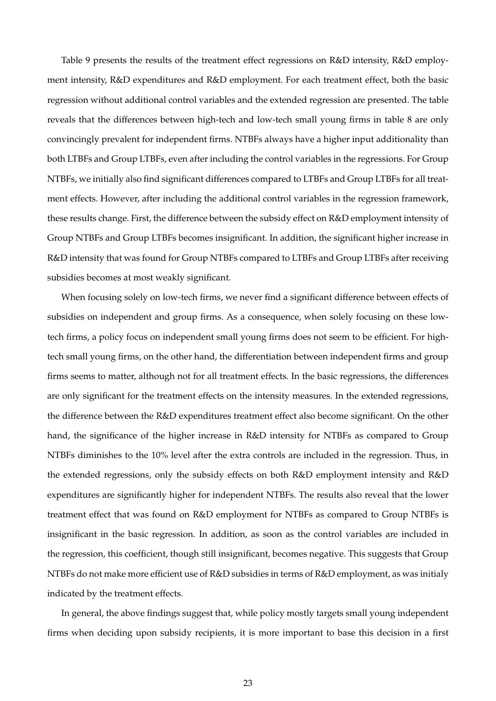Table 9 presents the results of the treatment effect regressions on R&D intensity, R&D employment intensity, R&D expenditures and R&D employment. For each treatment effect, both the basic regression without additional control variables and the extended regression are presented. The table reveals that the differences between high-tech and low-tech small young firms in table 8 are only convincingly prevalent for independent firms. NTBFs always have a higher input additionality than both LTBFs and Group LTBFs, even after including the control variables in the regressions. For Group NTBFs, we initially also find significant differences compared to LTBFs and Group LTBFs for all treatment effects. However, after including the additional control variables in the regression framework, these results change. First, the difference between the subsidy effect on R&D employment intensity of Group NTBFs and Group LTBFs becomes insignificant. In addition, the significant higher increase in R&D intensity that was found for Group NTBFs compared to LTBFs and Group LTBFs after receiving subsidies becomes at most weakly significant.

When focusing solely on low-tech firms, we never find a significant difference between effects of subsidies on independent and group firms. As a consequence, when solely focusing on these lowtech firms, a policy focus on independent small young firms does not seem to be efficient. For hightech small young firms, on the other hand, the differentiation between independent firms and group firms seems to matter, although not for all treatment effects. In the basic regressions, the differences are only significant for the treatment effects on the intensity measures. In the extended regressions, the difference between the R&D expenditures treatment effect also become significant. On the other hand, the significance of the higher increase in R&D intensity for NTBFs as compared to Group NTBFs diminishes to the 10% level after the extra controls are included in the regression. Thus, in the extended regressions, only the subsidy effects on both R&D employment intensity and R&D expenditures are significantly higher for independent NTBFs. The results also reveal that the lower treatment effect that was found on R&D employment for NTBFs as compared to Group NTBFs is insignificant in the basic regression. In addition, as soon as the control variables are included in the regression, this coefficient, though still insignificant, becomes negative. This suggests that Group NTBFs do not make more efficient use of R&D subsidies in terms of R&D employment, as was initialy indicated by the treatment effects.

In general, the above findings suggest that, while policy mostly targets small young independent firms when deciding upon subsidy recipients, it is more important to base this decision in a first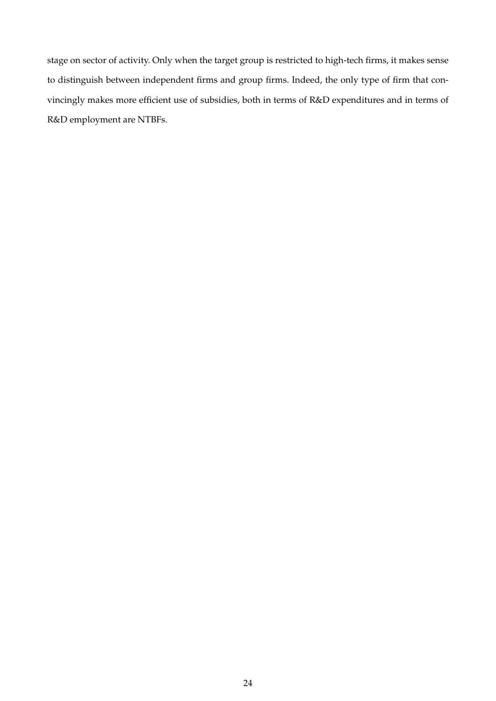stage on sector of activity. Only when the target group is restricted to high-tech firms, it makes sense to distinguish between independent firms and group firms. Indeed, the only type of firm that convincingly makes more efficient use of subsidies, both in terms of R&D expenditures and in terms of R&D employment are NTBFs.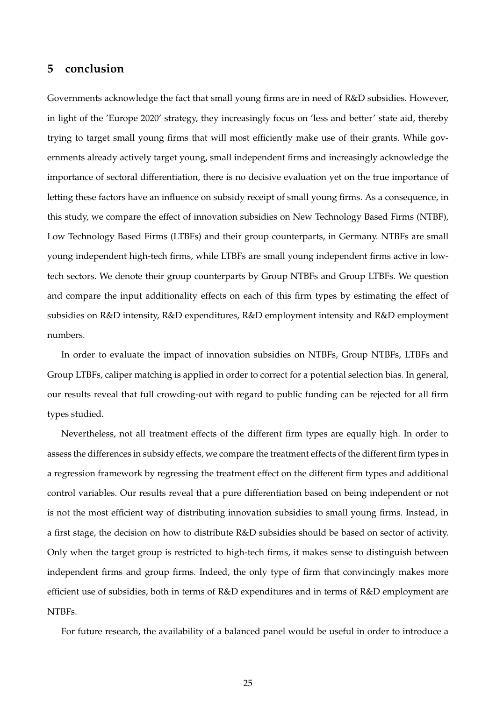## **5 conclusion**

Governments acknowledge the fact that small young firms are in need of R&D subsidies. However, in light of the 'Europe 2020' strategy, they increasingly focus on 'less and better' state aid, thereby trying to target small young firms that will most efficiently make use of their grants. While governments already actively target young, small independent firms and increasingly acknowledge the importance of sectoral differentiation, there is no decisive evaluation yet on the true importance of letting these factors have an influence on subsidy receipt of small young firms. As a consequence, in this study, we compare the effect of innovation subsidies on New Technology Based Firms (NTBF), Low Technology Based Firms (LTBFs) and their group counterparts, in Germany. NTBFs are small young independent high-tech firms, while LTBFs are small young independent firms active in lowtech sectors. We denote their group counterparts by Group NTBFs and Group LTBFs. We question and compare the input additionality effects on each of this firm types by estimating the effect of subsidies on R&D intensity, R&D expenditures, R&D employment intensity and R&D employment numbers.

In order to evaluate the impact of innovation subsidies on NTBFs, Group NTBFs, LTBFs and Group LTBFs, caliper matching is applied in order to correct for a potential selection bias. In general, our results reveal that full crowding-out with regard to public funding can be rejected for all firm types studied.

Nevertheless, not all treatment effects of the different firm types are equally high. In order to assess the differences in subsidy effects, we compare the treatment effects of the different firm types in a regression framework by regressing the treatment effect on the different firm types and additional control variables. Our results reveal that a pure differentiation based on being independent or not is not the most efficient way of distributing innovation subsidies to small young firms. Instead, in a first stage, the decision on how to distribute R&D subsidies should be based on sector of activity. Only when the target group is restricted to high-tech firms, it makes sense to distinguish between independent firms and group firms. Indeed, the only type of firm that convincingly makes more efficient use of subsidies, both in terms of R&D expenditures and in terms of R&D employment are NTBFs.

For future research, the availability of a balanced panel would be useful in order to introduce a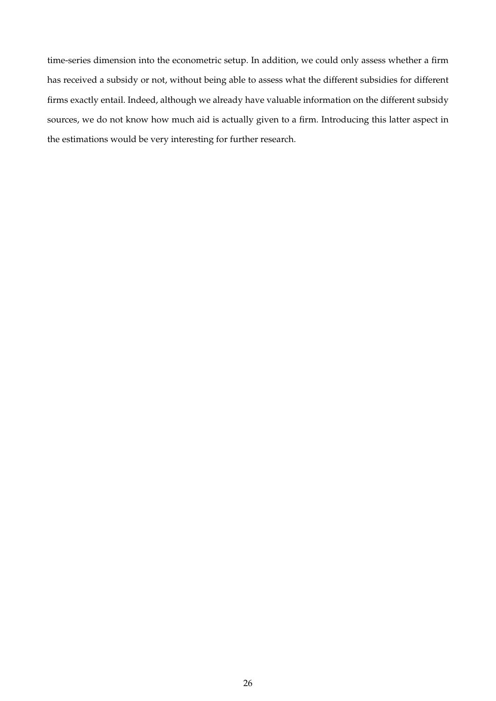time-series dimension into the econometric setup. In addition, we could only assess whether a firm has received a subsidy or not, without being able to assess what the different subsidies for different firms exactly entail. Indeed, although we already have valuable information on the different subsidy sources, we do not know how much aid is actually given to a firm. Introducing this latter aspect in the estimations would be very interesting for further research.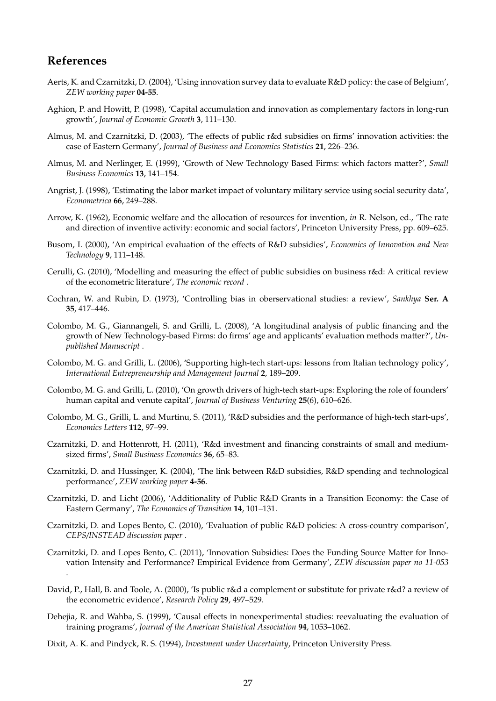## **References**

- Aerts, K. and Czarnitzki, D. (2004), 'Using innovation survey data to evaluate R&D policy: the case of Belgium', *ZEW working paper* **04-55**.
- Aghion, P. and Howitt, P. (1998), 'Capital accumulation and innovation as complementary factors in long-run growth', *Journal of Economic Growth* **3**, 111–130.
- Almus, M. and Czarnitzki, D. (2003), 'The effects of public r&d subsidies on firms' innovation activities: the case of Eastern Germany', *Journal of Business and Economics Statistics* **21**, 226–236.
- Almus, M. and Nerlinger, E. (1999), 'Growth of New Technology Based Firms: which factors matter?', *Small Business Economics* **13**, 141–154.
- Angrist, J. (1998), 'Estimating the labor market impact of voluntary military service using social security data', *Econometrica* **66**, 249–288.
- Arrow, K. (1962), Economic welfare and the allocation of resources for invention, *in* R. Nelson, ed., 'The rate and direction of inventive activity: economic and social factors', Princeton University Press, pp. 609–625.
- Busom, I. (2000), 'An empirical evaluation of the effects of R&D subsidies', *Economics of Innovation and New Technology* **9**, 111–148.
- Cerulli, G. (2010), 'Modelling and measuring the effect of public subsidies on business r&d: A critical review of the econometric literature', *The economic record* .
- Cochran, W. and Rubin, D. (1973), 'Controlling bias in oberservational studies: a review', *Sankhya* **Ser. A 35**, 417–446.
- Colombo, M. G., Giannangeli, S. and Grilli, L. (2008), 'A longitudinal analysis of public financing and the growth of New Technology-based Firms: do firms' age and applicants' evaluation methods matter?', *Unpublished Manuscript* .
- Colombo, M. G. and Grilli, L. (2006), 'Supporting high-tech start-ups: lessons from Italian technology policy', *International Entrepreneurship and Management Journal* **2**, 189–209.
- Colombo, M. G. and Grilli, L. (2010), 'On growth drivers of high-tech start-ups: Exploring the role of founders' human capital and venute capital', *Journal of Business Venturing* **25**(6), 610–626.
- Colombo, M. G., Grilli, L. and Murtinu, S. (2011), 'R&D subsidies and the performance of high-tech start-ups', *Economics Letters* **112**, 97–99.
- Czarnitzki, D. and Hottenrott, H. (2011), 'R&d investment and financing constraints of small and mediumsized firms', *Small Business Economics* **36**, 65–83.
- Czarnitzki, D. and Hussinger, K. (2004), 'The link between R&D subsidies, R&D spending and technological performance', *ZEW working paper* **4-56**.
- Czarnitzki, D. and Licht (2006), 'Additionality of Public R&D Grants in a Transition Economy: the Case of Eastern Germany', *The Economics of Transition* **14**, 101–131.
- Czarnitzki, D. and Lopes Bento, C. (2010), 'Evaluation of public R&D policies: A cross-country comparison', *CEPS/INSTEAD discussion paper* .
- Czarnitzki, D. and Lopes Bento, C. (2011), 'Innovation Subsidies: Does the Funding Source Matter for Innovation Intensity and Performance? Empirical Evidence from Germany', *ZEW discussion paper no 11-053* .
- David, P., Hall, B. and Toole, A. (2000), 'Is public r&d a complement or substitute for private r&d? a review of the econometric evidence', *Research Policy* **29**, 497–529.
- Dehejia, R. and Wahba, S. (1999), 'Causal effects in nonexperimental studies: reevaluating the evaluation of training programs', *Journal of the American Statistical Association* **94**, 1053–1062.
- Dixit, A. K. and Pindyck, R. S. (1994), *Investment under Uncertainty*, Princeton University Press.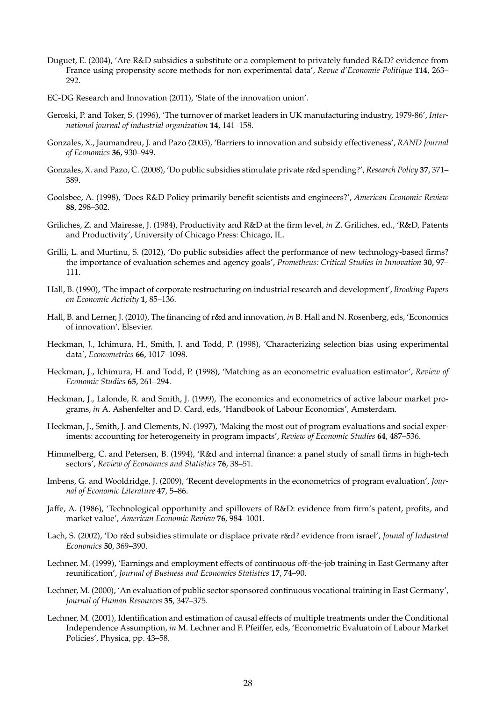- Duguet, E. (2004), 'Are R&D subsidies a substitute or a complement to privately funded R&D? evidence from France using propensity score methods for non experimental data', *Revue d'Economie Politique* **114**, 263– 292.
- EC-DG Research and Innovation (2011), 'State of the innovation union'.
- Geroski, P. and Toker, S. (1996), 'The turnover of market leaders in UK manufacturing industry, 1979-86', *International journal of industrial organization* **14**, 141–158.
- Gonzales, X., Jaumandreu, J. and Pazo (2005), 'Barriers to innovation and subsidy effectiveness', *RAND Journal of Economics* **36**, 930–949.
- Gonzales, X. and Pazo, C. (2008), 'Do public subsidies stimulate private r&d spending?', *Research Policy* **37**, 371– 389.
- Goolsbee, A. (1998), 'Does R&D Policy primarily benefit scientists and engineers?', *American Economic Review* **88**, 298–302.
- Griliches, Z. and Mairesse, J. (1984), Productivity and R&D at the firm level, *in* Z. Griliches, ed., 'R&D, Patents and Productivity', University of Chicago Press: Chicago, IL.
- Grilli, L. and Murtinu, S. (2012), 'Do public subsidies affect the performance of new technology-based firms? the importance of evaluation schemes and agency goals', *Prometheus: Critical Studies in Innovation* **30**, 97– 111.
- Hall, B. (1990), 'The impact of corporate restructuring on industrial research and development', *Brooking Papers on Economic Activity* **1**, 85–136.
- Hall, B. and Lerner, J. (2010), The financing of r&d and innovation, *in* B. Hall and N. Rosenberg, eds, 'Economics of innovation', Elsevier.
- Heckman, J., Ichimura, H., Smith, J. and Todd, P. (1998), 'Characterizing selection bias using experimental data', *Econometrics* **66**, 1017–1098.
- Heckman, J., Ichimura, H. and Todd, P. (1998), 'Matching as an econometric evaluation estimator', *Review of Economic Studies* **65**, 261–294.
- Heckman, J., Lalonde, R. and Smith, J. (1999), The economics and econometrics of active labour market programs, *in* A. Ashenfelter and D. Card, eds, 'Handbook of Labour Economics', Amsterdam.
- Heckman, J., Smith, J. and Clements, N. (1997), 'Making the most out of program evaluations and social experiments: accounting for heterogeneity in program impacts', *Review of Economic Studies* **64**, 487–536.
- Himmelberg, C. and Petersen, B. (1994), 'R&d and internal finance: a panel study of small firms in high-tech sectors', *Review of Economics and Statistics* **76**, 38–51.
- Imbens, G. and Wooldridge, J. (2009), 'Recent developments in the econometrics of program evaluation', *Journal of Economic Literature* **47**, 5–86.
- Jaffe, A. (1986), 'Technological opportunity and spillovers of R&D: evidence from firm's patent, profits, and market value', *American Economic Review* **76**, 984–1001.
- Lach, S. (2002), 'Do r&d subsidies stimulate or displace private r&d? evidence from israel', *Jounal of Industrial Economics* **50**, 369–390.
- Lechner, M. (1999), 'Earnings and employment effects of continuous off-the-job training in East Germany after reunification', *Journal of Business and Economics Statistics* **17**, 74–90.
- Lechner, M. (2000), 'An evaluation of public sector sponsored continuous vocational training in East Germany', *Journal of Human Resources* **35**, 347–375.
- Lechner, M. (2001), Identification and estimation of causal effects of multiple treatments under the Conditional Independence Assumption, *in* M. Lechner and F. Pfeiffer, eds, 'Econometric Evaluatoin of Labour Market Policies', Physica, pp. 43–58.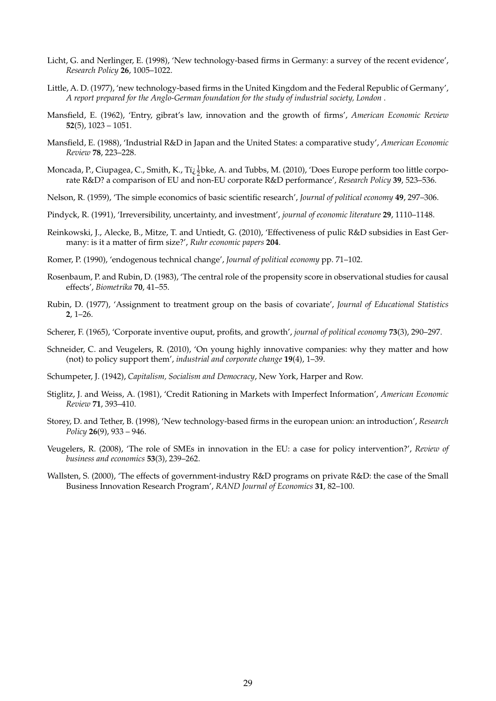- Licht, G. and Nerlinger, E. (1998), 'New technology-based firms in Germany: a survey of the recent evidence', *Research Policy* **26**, 1005–1022.
- Little, A. D. (1977), 'new technology-based firms in the United Kingdom and the Federal Republic of Germany', *A report prepared for the Anglo-German foundation for the study of industrial society, London* .
- Mansfield, E. (1962), 'Entry, gibrat's law, innovation and the growth of firms', *American Economic Review* **52**(5), 1023 – 1051.
- Mansfield, E. (1988), 'Industrial R&D in Japan and the United States: a comparative study', *American Economic Review* **78**, 223–228.
- Moncada, P., Ciupagea, C., Smith, K., Ti<sub> $\xi$ </sub>  $\frac{1}{2}$ bke, A. and Tubbs, M. (2010), 'Does Europe perform too little corporate R&D? a comparison of EU and non-EU corporate R&D performance', *Research Policy* **39**, 523–536.
- Nelson, R. (1959), 'The simple economics of basic scientific research', *Journal of political economy* **49**, 297–306.
- Pindyck, R. (1991), 'Irreversibility, uncertainty, and investment', *journal of economic literature* **29**, 1110–1148.
- Reinkowski, J., Alecke, B., Mitze, T. and Untiedt, G. (2010), 'Effectiveness of pulic R&D subsidies in East Germany: is it a matter of firm size?', *Ruhr economic papers* **204**.
- Romer, P. (1990), 'endogenous technical change', *Journal of political economy* pp. 71–102.
- Rosenbaum, P. and Rubin, D. (1983), 'The central role of the propensity score in observational studies for causal effects', *Biometrika* **70**, 41–55.
- Rubin, D. (1977), 'Assignment to treatment group on the basis of covariate', *Journal of Educational Statistics* **2**, 1–26.
- Scherer, F. (1965), 'Corporate inventive ouput, profits, and growth', *journal of political economy* **73**(3), 290–297.
- Schneider, C. and Veugelers, R. (2010), 'On young highly innovative companies: why they matter and how (not) to policy support them', *industrial and corporate change* **19**(4), 1–39.
- Schumpeter, J. (1942), *Capitalism, Socialism and Democracy*, New York, Harper and Row.
- Stiglitz, J. and Weiss, A. (1981), 'Credit Rationing in Markets with Imperfect Information', *American Economic Review* **71**, 393–410.
- Storey, D. and Tether, B. (1998), 'New technology-based firms in the european union: an introduction', *Research Policy* **26**(9), 933 – 946.
- Veugelers, R. (2008), 'The role of SMEs in innovation in the EU: a case for policy intervention?', *Review of business and economics* **53**(3), 239–262.
- Wallsten, S. (2000), 'The effects of government-industry R&D programs on private R&D: the case of the Small Business Innovation Research Program', *RAND Journal of Economics* **31**, 82–100.